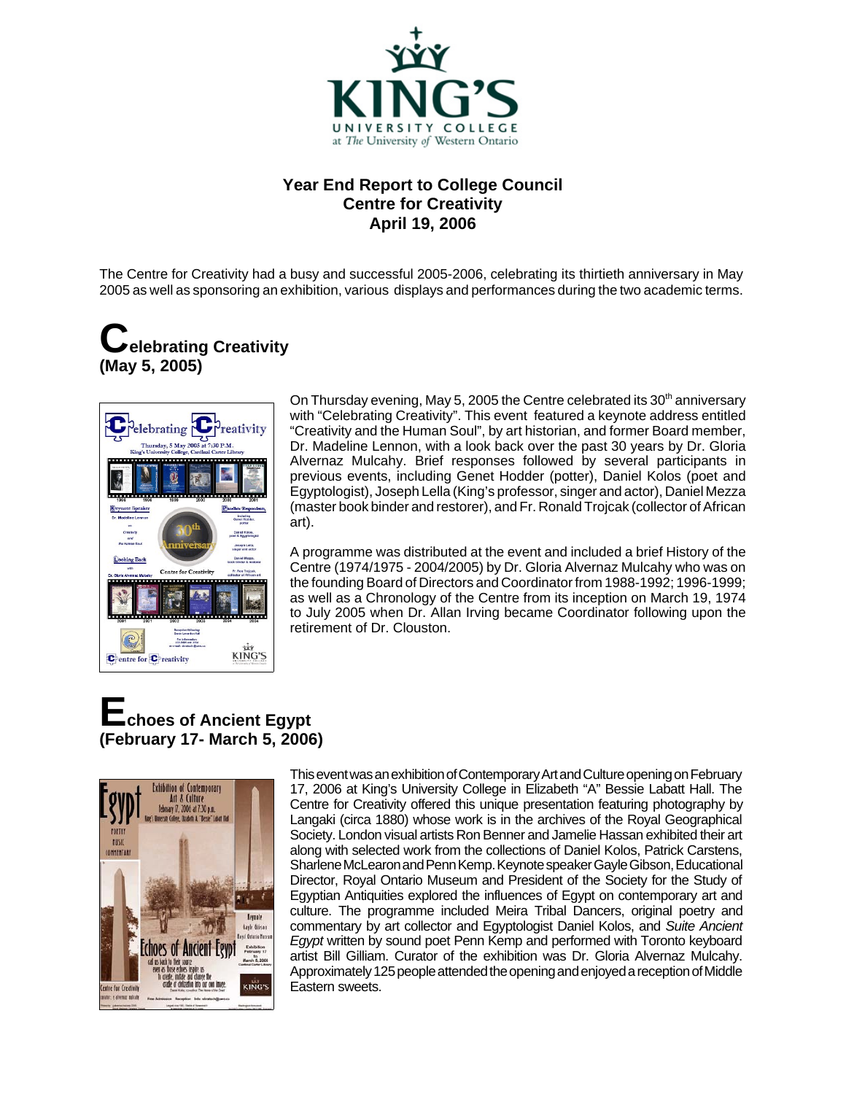

#### **Year End Report to College Council Centre for Creativity April 19, 2006**

The Centre for Creativity had a busy and successful 2005-2006, celebrating its thirtieth anniversary in May 2005 as well as sponsoring an exhibition, various displays and performances during the two academic terms.

### **Celebrating Creativity (May 5, 2005)**



On Thursday evening, May 5, 2005 the Centre celebrated its 30<sup>th</sup> anniversary with "Celebrating Creativity". This event featured a keynote address entitled "Creativity and the Human Soul", by art historian, and former Board member, Dr. Madeline Lennon, with a look back over the past 30 years by Dr. Gloria Alvernaz Mulcahy. Brief responses followed by several participants in previous events, including Genet Hodder (potter), Daniel Kolos (poet and Egyptologist), Joseph Lella (King's professor, singer and actor), Daniel Mezza (master book binder and restorer), and Fr. Ronald Trojcak (collector of African art).

A programme was distributed at the event and included a brief History of the Centre (1974/1975 - 2004/2005) by Dr. Gloria Alvernaz Mulcahy who was on the founding Board of Directors and Coordinator from 1988-1992; 1996-1999; as well as a Chronology of the Centre from its inception on March 19, 1974 to July 2005 when Dr. Allan Irving became Coordinator following upon the retirement of Dr. Clouston.

### **Echoes of Ancient Egypt (February 17- March 5, 2006)**



This event was an exhibition of Contemporary Art and Culture opening on February 17, 2006 at King's University College in Elizabeth "A" Bessie Labatt Hall. The Centre for Creativity offered this unique presentation featuring photography by Langaki (circa 1880) whose work is in the archives of the Royal Geographical Society. London visual artists Ron Benner and Jamelie Hassan exhibited their art along with selected work from the collections of Daniel Kolos, Patrick Carstens, Sharlene McLearon and Penn Kemp. Keynote speaker Gayle Gibson, Educational Director, Royal Ontario Museum and President of the Society for the Study of Egyptian Antiquities explored the influences of Egypt on contemporary art and culture. The programme included Meira Tribal Dancers, original poetry and commentary by art collector and Egyptologist Daniel Kolos, and *Suite Ancient Egypt* written by sound poet Penn Kemp and performed with Toronto keyboard artist Bill Gilliam. Curator of the exhibition was Dr. Gloria Alvernaz Mulcahy. Approximately 125 people attended the opening and enjoyed a reception of Middle Eastern sweets.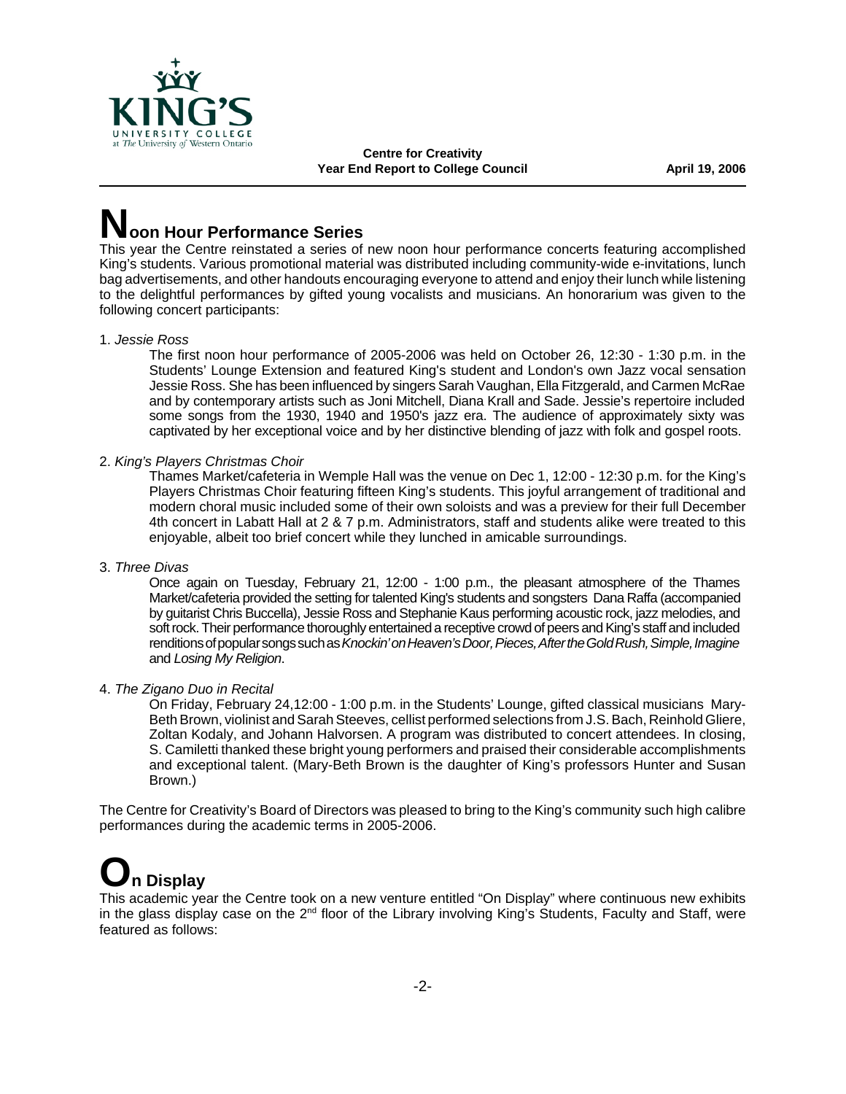

**Centre for Creativity** Year End Report to College Council **April 19, 2006** 

## **Noon Hour Performance Series**

This year the Centre reinstated a series of new noon hour performance concerts featuring accomplished King's students. Various promotional material was distributed including community-wide e-invitations, lunch bag advertisements, and other handouts encouraging everyone to attend and enjoy their lunch while listening to the delightful performances by gifted young vocalists and musicians. An honorarium was given to the following concert participants:

#### 1. *Jessie Ross*

The first noon hour performance of 2005-2006 was held on October 26, 12:30 - 1:30 p.m. in the Students' Lounge Extension and featured King's student and London's own Jazz vocal sensation Jessie Ross. She has been influenced by singers Sarah Vaughan, Ella Fitzgerald, and Carmen McRae and by contemporary artists such as Joni Mitchell, Diana Krall and Sade. Jessie's repertoire included some songs from the 1930, 1940 and 1950's jazz era. The audience of approximately sixty was captivated by her exceptional voice and by her distinctive blending of jazz with folk and gospel roots.

2. *King's Players Christmas Choir*

Thames Market/cafeteria in Wemple Hall was the venue on Dec 1, 12:00 - 12:30 p.m. for the King's Players Christmas Choir featuring fifteen King's students. This joyful arrangement of traditional and modern choral music included some of their own soloists and was a preview for their full December 4th concert in Labatt Hall at 2 & 7 p.m. Administrators, staff and students alike were treated to this enjoyable, albeit too brief concert while they lunched in amicable surroundings.

3. *Three Divas*

Once again on Tuesday, February 21, 12:00 - 1:00 p.m., the pleasant atmosphere of the Thames Market/cafeteria provided the setting for talented King's students and songsters Dana Raffa (accompanied by guitarist Chris Buccella), Jessie Ross and Stephanie Kaus performing acoustic rock, jazz melodies, and soft rock. Their performance thoroughly entertained a receptive crowd of peers and King's staff and included renditions of popular songs such as *Knockin' on Heaven's Door, Pieces, After the Gold Rush, Simple, Imagine* and *Losing My Religion*.

4. *The Zigano Duo in Recital*

On Friday, February 24,12:00 - 1:00 p.m. in the Students' Lounge, gifted classical musicians Mary-Beth Brown, violinist and Sarah Steeves, cellist performed selections from J.S. Bach, Reinhold Gliere, Zoltan Kodaly, and Johann Halvorsen. A program was distributed to concert attendees. In closing, S. Camiletti thanked these bright young performers and praised their considerable accomplishments and exceptional talent. (Mary-Beth Brown is the daughter of King's professors Hunter and Susan Brown.)

The Centre for Creativity's Board of Directors was pleased to bring to the King's community such high calibre performances during the academic terms in 2005-2006.

# **On Display**

This academic year the Centre took on a new venture entitled "On Display" where continuous new exhibits in the glass display case on the  $2^{nd}$  floor of the Library involving King's Students, Faculty and Staff, were featured as follows: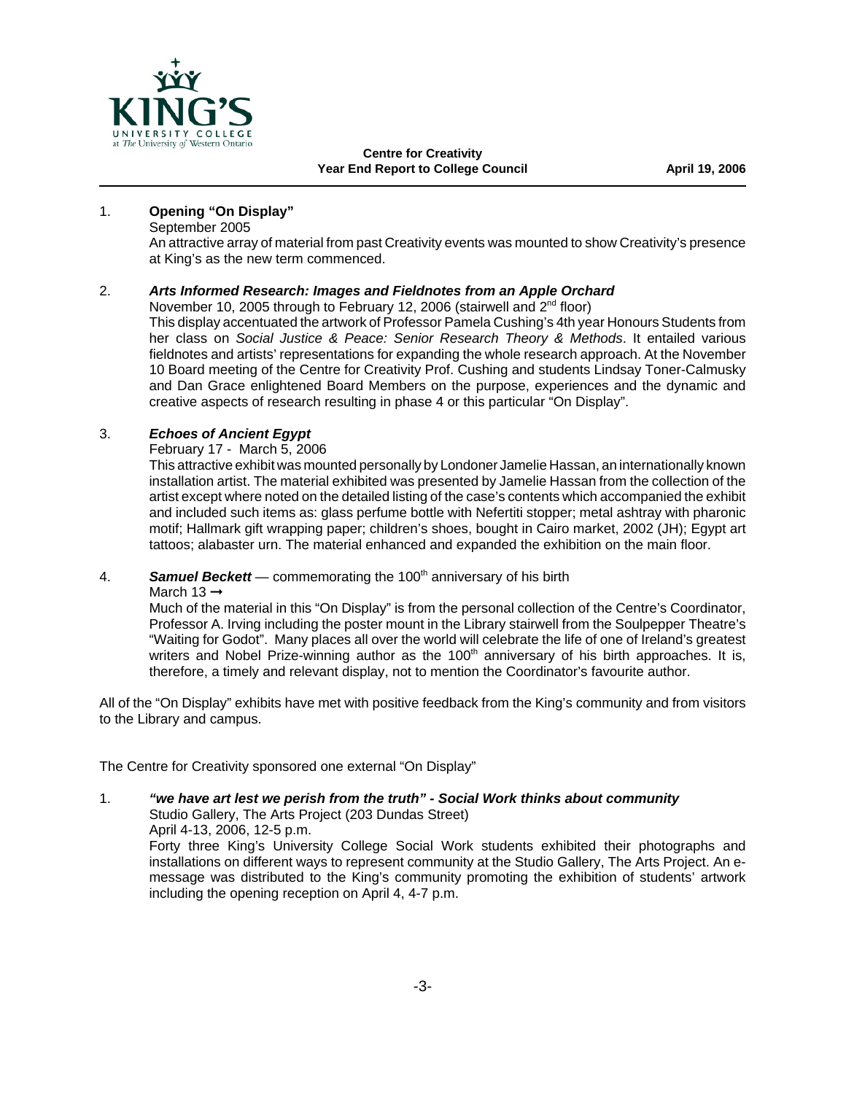

#### 1. **Opening "On Display"**

September 2005

An attractive array of material from past Creativity events was mounted to show Creativity's presence at King's as the new term commenced.

#### 2. *Arts Informed Research: Images and Fieldnotes from an Apple Orchard*

November 10, 2005 through to February 12, 2006 (stairwell and 2<sup>nd</sup> floor) This display accentuated the artwork of Professor Pamela Cushing's 4th year Honours Students from her class on *Social Justice & Peace: Senior Research Theory & Methods*. It entailed various fieldnotes and artists' representations for expanding the whole research approach. At the November 10 Board meeting of the Centre for Creativity Prof. Cushing and students Lindsay Toner-Calmusky and Dan Grace enlightened Board Members on the purpose, experiences and the dynamic and

creative aspects of research resulting in phase 4 or this particular "On Display".

#### 3. *Echoes of Ancient Egypt*

February 17 - March 5, 2006

This attractive exhibit was mounted personally by Londoner Jamelie Hassan, an internationally known installation artist. The material exhibited was presented by Jamelie Hassan from the collection of the artist except where noted on the detailed listing of the case's contents which accompanied the exhibit and included such items as: glass perfume bottle with Nefertiti stopper; metal ashtray with pharonic motif; Hallmark gift wrapping paper; children's shoes, bought in Cairo market, 2002 (JH); Egypt art tattoos; alabaster urn. The material enhanced and expanded the exhibition on the main floor.

#### 4. **Samuel Beckett** — commemorating the 100<sup>th</sup> anniversary of his birth

March 13 $\rightarrow$ 

Much of the material in this "On Display" is from the personal collection of the Centre's Coordinator, Professor A. Irving including the poster mount in the Library stairwell from the Soulpepper Theatre's "Waiting for Godot". Many places all over the world will celebrate the life of one of Ireland's greatest writers and Nobel Prize-winning author as the 100<sup>th</sup> anniversary of his birth approaches. It is, therefore, a timely and relevant display, not to mention the Coordinator's favourite author.

All of the "On Display" exhibits have met with positive feedback from the King's community and from visitors to the Library and campus.

The Centre for Creativity sponsored one external "On Display"

1. *"we have art lest we perish from the truth" - Social Work thinks about community*

Studio Gallery, The Arts Project (203 Dundas Street) April 4-13, 2006, 12-5 p.m.

Forty three King's University College Social Work students exhibited their photographs and installations on different ways to represent community at the Studio Gallery, The Arts Project. An emessage was distributed to the King's community promoting the exhibition of students' artwork including the opening reception on April 4, 4-7 p.m.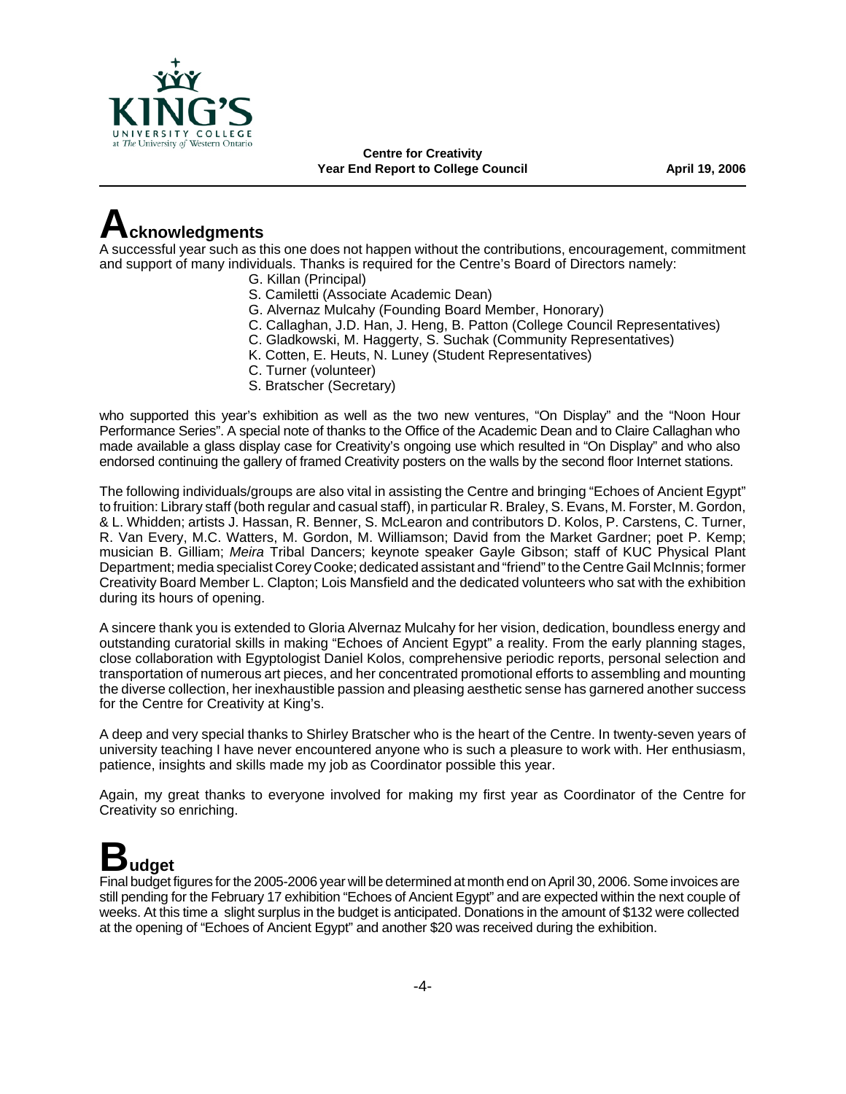

**Centre for Creativity** Year End Report to College Council **April 19, 2006** 

### **Acknowledgments**

A successful year such as this one does not happen without the contributions, encouragement, commitment and support of many individuals. Thanks is required for the Centre's Board of Directors namely:

- G. Killan (Principal)
- S. Camiletti (Associate Academic Dean)
- G. Alvernaz Mulcahy (Founding Board Member, Honorary)
- C. Callaghan, J.D. Han, J. Heng, B. Patton (College Council Representatives)
- C. Gladkowski, M. Haggerty, S. Suchak (Community Representatives)
- K. Cotten, E. Heuts, N. Luney (Student Representatives)
- C. Turner (volunteer)
- S. Bratscher (Secretary)

who supported this year's exhibition as well as the two new ventures, "On Display" and the "Noon Hour Performance Series". A special note of thanks to the Office of the Academic Dean and to Claire Callaghan who made available a glass display case for Creativity's ongoing use which resulted in "On Display" and who also endorsed continuing the gallery of framed Creativity posters on the walls by the second floor Internet stations.

The following individuals/groups are also vital in assisting the Centre and bringing "Echoes of Ancient Egypt" to fruition: Library staff (both regular and casual staff), in particular R. Braley, S. Evans, M. Forster, M. Gordon, & L. Whidden; artists J. Hassan, R. Benner, S. McLearon and contributors D. Kolos, P. Carstens, C. Turner, R. Van Every, M.C. Watters, M. Gordon, M. Williamson; David from the Market Gardner; poet P. Kemp; musician B. Gilliam; *Meira* Tribal Dancers; keynote speaker Gayle Gibson; staff of KUC Physical Plant Department; media specialist Corey Cooke; dedicated assistant and "friend" to the Centre Gail McInnis; former Creativity Board Member L. Clapton; Lois Mansfield and the dedicated volunteers who sat with the exhibition during its hours of opening.

A sincere thank you is extended to Gloria Alvernaz Mulcahy for her vision, dedication, boundless energy and outstanding curatorial skills in making "Echoes of Ancient Egypt" a reality. From the early planning stages, close collaboration with Egyptologist Daniel Kolos, comprehensive periodic reports, personal selection and transportation of numerous art pieces, and her concentrated promotional efforts to assembling and mounting the diverse collection, her inexhaustible passion and pleasing aesthetic sense has garnered another success for the Centre for Creativity at King's.

A deep and very special thanks to Shirley Bratscher who is the heart of the Centre. In twenty-seven years of university teaching I have never encountered anyone who is such a pleasure to work with. Her enthusiasm, patience, insights and skills made my job as Coordinator possible this year.

Again, my great thanks to everyone involved for making my first year as Coordinator of the Centre for Creativity so enriching.

# **Budget**

Final budget figures for the 2005-2006 year will be determined at month end on April 30, 2006. Some invoices are still pending for the February 17 exhibition "Echoes of Ancient Egypt" and are expected within the next couple of weeks. At this time a slight surplus in the budget is anticipated. Donations in the amount of \$132 were collected at the opening of "Echoes of Ancient Egypt" and another \$20 was received during the exhibition.